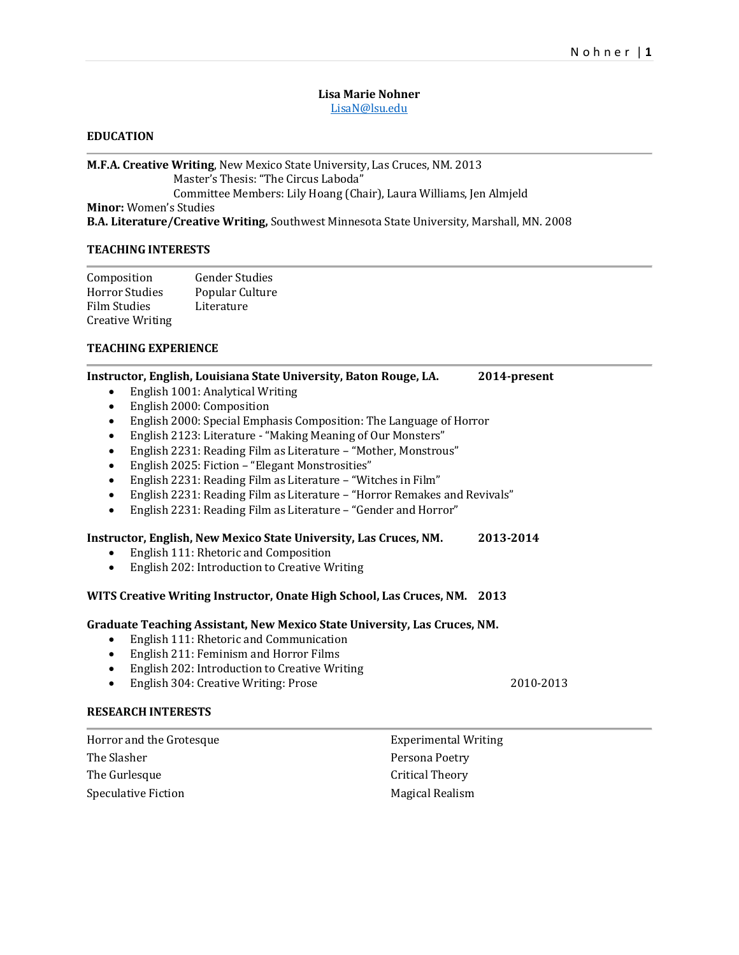## **Lisa Marie Nohner** [LisaN@lsu.edu](mailto:LisaN@lsu.edu)

# **EDUCATION**

**M.F.A. Creative Writing**, New Mexico State University, Las Cruces, NM. 2013 Master's Thesis: "The Circus Laboda" Committee Members: Lily Hoang (Chair), Laura Williams, Jen Almjeld **Minor:** Women's Studies **B.A. Literature/Creative Writing,** Southwest Minnesota State University, Marshall, MN. 2008

## **TEACHING INTERESTS**

| Composition             | <b>Gender Studies</b> |
|-------------------------|-----------------------|
| Horror Studies          | Popular Culture       |
| Film Studies            | Literature            |
| <b>Creative Writing</b> |                       |

### **TEACHING EXPERIENCE**

| Instructor, English, Louisiana State University, Baton Rouge, LA.         | 2014-present                |  |  |
|---------------------------------------------------------------------------|-----------------------------|--|--|
| English 1001: Analytical Writing<br>٠                                     |                             |  |  |
| English 2000: Composition<br>$\bullet$                                    |                             |  |  |
| English 2000: Special Emphasis Composition: The Language of Horror<br>٠   |                             |  |  |
| English 2123: Literature - "Making Meaning of Our Monsters"<br>٠          |                             |  |  |
| English 2231: Reading Film as Literature - "Mother, Monstrous"<br>٠       |                             |  |  |
| English 2025: Fiction - "Elegant Monstrosities"<br>$\bullet$              |                             |  |  |
| English 2231: Reading Film as Literature - "Witches in Film"<br>$\bullet$ |                             |  |  |
| English 2231: Reading Film as Literature - "Horror Remakes and Revivals"  |                             |  |  |
| English 2231: Reading Film as Literature - "Gender and Horror"<br>٠       |                             |  |  |
| Instructor, English, New Mexico State University, Las Cruces, NM.         | 2013-2014                   |  |  |
| English 111: Rhetoric and Composition                                     |                             |  |  |
| English 202: Introduction to Creative Writing<br>$\bullet$                |                             |  |  |
| WITS Creative Writing Instructor, Onate High School, Las Cruces, NM. 2013 |                             |  |  |
| Graduate Teaching Assistant, New Mexico State University, Las Cruces, NM. |                             |  |  |
| English 111: Rhetoric and Communication                                   |                             |  |  |
| English 211: Feminism and Horror Films<br>$\bullet$                       |                             |  |  |
| English 202: Introduction to Creative Writing<br>$\bullet$                |                             |  |  |
| English 304: Creative Writing: Prose<br>$\bullet$                         | 2010-2013                   |  |  |
| <b>RESEARCH INTERESTS</b>                                                 |                             |  |  |
| Horror and the Grotesque                                                  | <b>Experimental Writing</b> |  |  |
| The Slasher                                                               | Persona Poetry              |  |  |

| Horror and the Grotesque | <b>Experimental Writing</b> |
|--------------------------|-----------------------------|
| The Slasher              | Persona Poetry              |
| The Gurlesque            | Critical Theory             |
| Speculative Fiction      | Magical Realism             |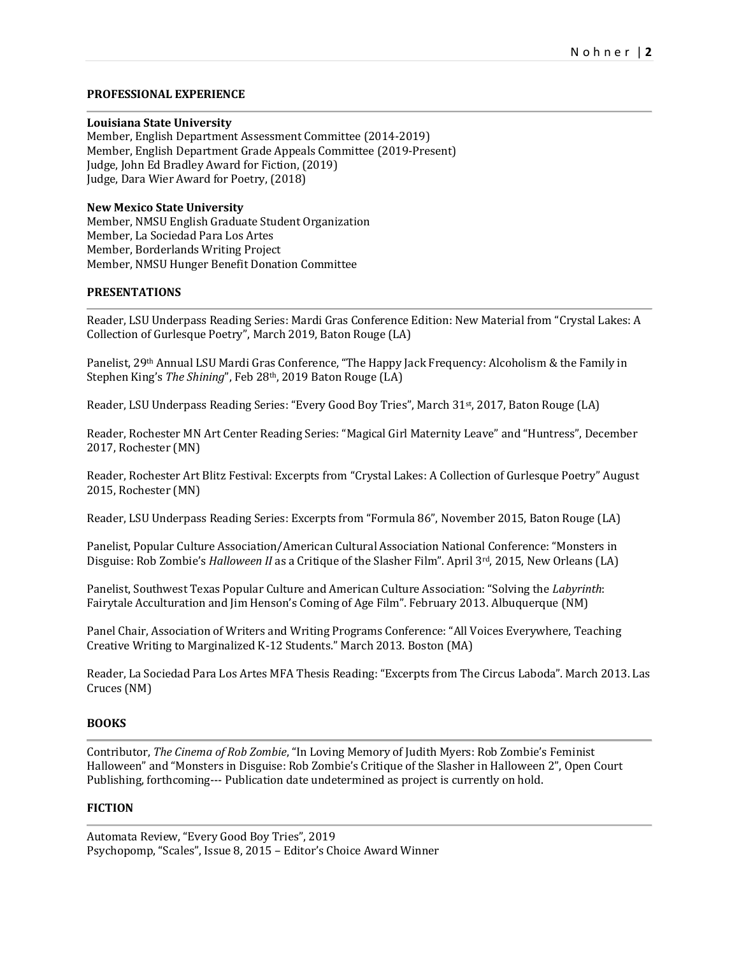## **PROFESSIONAL EXPERIENCE**

#### **Louisiana State University**

Member, English Department Assessment Committee (2014-2019) Member, English Department Grade Appeals Committee (2019-Present) Judge, John Ed Bradley Award for Fiction, (2019) Judge, Dara Wier Award for Poetry, (2018)

### **New Mexico State University**

Member, NMSU English Graduate Student Organization Member, La Sociedad Para Los Artes Member, Borderlands Writing Project Member, NMSU Hunger Benefit Donation Committee

# **PRESENTATIONS**

Reader, LSU Underpass Reading Series: Mardi Gras Conference Edition: New Material from "Crystal Lakes: A Collection of Gurlesque Poetry", March 2019, Baton Rouge (LA)

Panelist, 29th Annual LSU Mardi Gras Conference, "The Happy Jack Frequency: Alcoholism & the Family in Stephen King's *The Shining*", Feb 28th, 2019 Baton Rouge (LA)

Reader, LSU Underpass Reading Series: "Every Good Boy Tries", March 31st, 2017, Baton Rouge (LA)

Reader, Rochester MN Art Center Reading Series: "Magical Girl Maternity Leave" and "Huntress", December 2017, Rochester (MN)

Reader, Rochester Art Blitz Festival: Excerpts from "Crystal Lakes: A Collection of Gurlesque Poetry" August 2015, Rochester (MN)

Reader, LSU Underpass Reading Series: Excerpts from "Formula 86", November 2015, Baton Rouge (LA)

Panelist, Popular Culture Association/American Cultural Association National Conference: "Monsters in Disguise: Rob Zombie's *Halloween II* as a Critique of the Slasher Film". April 3<sup>rd</sup>, 2015, New Orleans (LA)

Panelist, Southwest Texas Popular Culture and American Culture Association: "Solving the *Labyrinth*: Fairytale Acculturation and Jim Henson's Coming of Age Film". February 2013. Albuquerque (NM)

Panel Chair, Association of Writers and Writing Programs Conference: "All Voices Everywhere, Teaching Creative Writing to Marginalized K-12 Students." March 2013. Boston (MA)

Reader, La Sociedad Para Los Artes MFA Thesis Reading: "Excerpts from The Circus Laboda". March 2013. Las Cruces (NM)

## **BOOKS**

Contributor, *The Cinema of Rob Zombie*, "In Loving Memory of Judith Myers: Rob Zombie's Feminist Halloween" and "Monsters in Disguise: Rob Zombie's Critique of the Slasher in Halloween 2", Open Court Publishing, forthcoming--- Publication date undetermined as project is currently on hold.

#### **FICTION**